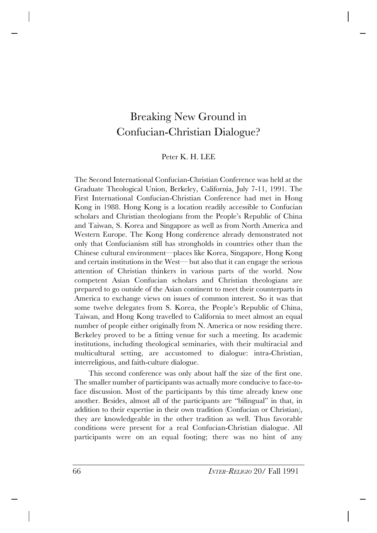## Breaking New Ground in Confucian-Christian Dialogue?

## Peter K. H. LEE

The Second International Confucian-Christian Conference was held at the Graduate Theological Union, Berkeley, California, July 7-11, 1991. The First International Confucian-Christian Conference had met in Hong Kong in 1988. Hong Kong is a location readily accessible to Confucian scholars and Christian theologians from the People's Republic of China and Taiwan, S. Korea and Singapore as well as from North America and Western Europe. The Kong Hong conference already demonstrated not only that Confucianism still has strongholds in countries other than the Chinese cultural environment—places like Korea, Singapore, Hong Kong and certain institutions in the West— but also that it can engage the serious attention of Christian thinkers in various parts of the world. Now competent Asian Confucian scholars and Christian theologians are prepared to go outside of the Asian continent to meet their counterparts in America to exchange views on issues of common interest. So it was that some twelve delegates from S. Korea, the People's Republic of China, Taiwan, and Hong Kong travelled to California to meet almost an equal number of people either originally from N. America or now residing there. Berkeley proved to be a fitting venue for such a meeting. Its academic institutions, including theological seminaries, with their multiracial and multicultural setting, are accustomed to dialogue: intra-Christian, interreligious, and faith-culture dialogue.

This second conference was only about half the size of the first one. The smaller number of participants was actually more conducive to face-toface discussion. Most of the participants by this time already knew one another. Besides, almost all of the participants are "bilingual" in that, in addition to their expertise in their own tradition (Confucian or Christian), they are knowledgeable in the other tradition as well. Thus favorable conditions were present for a real Confucian-Christian dialogue. All participants were on an equal footing; there was no hint of any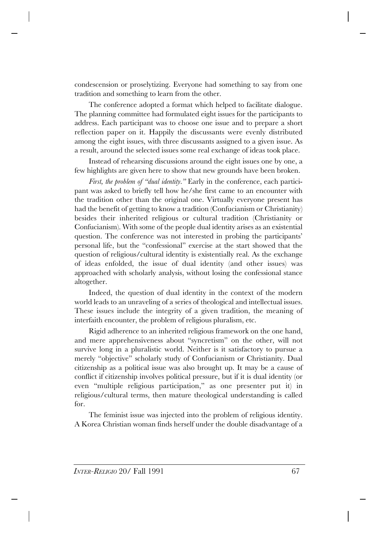condescension or proselytizing. Everyone had something to say from one tradition and something to learn from the other.

The conference adopted a format which helped to facilitate dialogue. The planning committee had formulated eight issues for the participants to address. Each participant was to choose one issue and to prepare a short reflection paper on it. Happily the discussants were evenly distributed among the eight issues, with three discussants assigned to a given issue. As a result, around the selected issues some real exchange of ideas took place.

Instead of rehearsing discussions around the eight issues one by one, a few highlights are given here to show that new grounds have been broken.

*First, the problem of "dual identity.*" Early in the conference, each participant was asked to briefly tell how he/she first came to an encounter with the tradition other than the original one. Virtually everyone present has had the benefit of getting to know a tradition (Confucianism or Christianity) besides their inherited religious or cultural tradition (Christianity or Confucianism). With some of the people dual identity arises as an existential question. The conference was not interested in probing the participants' personal life, but the "confessional" exercise at the start showed that the question of religious/cultural identity is existentially real. As the exchange of ideas enfolded, the issue of dual identity (and other issues) was approached with scholarly analysis, without losing the confessional stance altogether.

Indeed, the question of dual identity in the context of the modern world leads to an unraveling of a series of theological and intellectual issues. These issues include the integrity of a given tradition, the meaning of interfaith encounter, the problem of religious pluralism, etc.

Rigid adherence to an inherited religious framework on the one hand, and mere apprehensiveness about "syncretism" on the other, will not survive long in a pluralistic world. Neither is it satisfactory to pursue a merely "objective" scholarly study of Confucianism or Christianity. Dual citizenship as a political issue was also brought up. It may be a cause of conflict if citizenship involves political pressure, but if it is dual identity (or even "multiple religious participation," as one presenter put it) in religious/cultural terms, then mature theological understanding is called for.

The feminist issue was injected into the problem of religious identity. A Korea Christian woman finds herself under the double disadvantage of a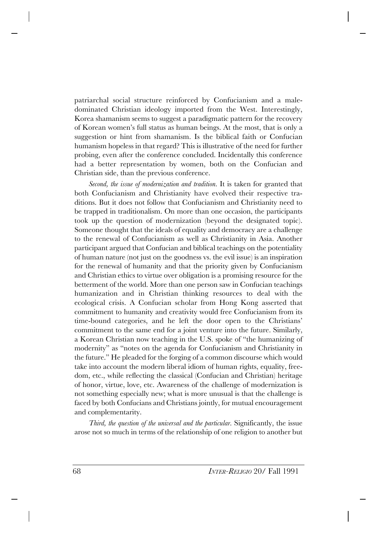patriarchal social structure reinforced by Confucianism and a maledominated Christian ideology imported from the West. Interestingly, Korea shamanism seems to suggest a paradigmatic pattern for the recovery of Korean women's full status as human beings. At the most, that is only a suggestion or hint from shamanism. Is the biblical faith or Confucian humanism hopeless in that regard? This is illustrative of the need for further probing, even after the conference concluded. Incidentally this conference had a better representation by women, both on the Confucian and Christian side, than the previous conference.

*Second, the issue of modernization and tradition.* It is taken for granted that both Confucianism and Christianity have evolved their respective traditions. But it does not follow that Confucianism and Christianity need to be trapped in traditionalism. On more than one occasion, the participants took up the question of modernization (beyond the designated topic). Someone thought that the ideals of equality and democracy are a challenge to the renewal of Confucianism as well as Christianity in Asia. Another participant argued that Confucian and biblical teachings on the potentiality of human nature (not just on the goodness vs. the evil issue) is an inspiration for the renewal of humanity and that the priority given by Confucianism and Christian ethics to virtue over obligation is a promising resource for the betterment of the world. More than one person saw in Confucian teachings humanization and in Christian thinking resources to deal with the ecological crisis. A Confucian scholar from Hong Kong asserted that commitment to humanity and creativity would free Confucianism from its time-bound categories, and he left the door open to the Christians' commitment to the same end for a joint venture into the future. Similarly, a Korean Christian now teaching in the U.S. spoke of "the humanizing of modernity" as "notes on the agenda for Confucianism and Christianity in the future." He pleaded for the forging of a common discourse which would take into account the modern liberal idiom of human rights, equality, freedom, etc., while reflecting the classical (Confucian and Christian) heritage of honor, virtue, love, etc. Awareness of the challenge of modernization is not something especially new; what is more unusual is that the challenge is faced by both Confucians and Christians jointly, for mutual encouragement and complementarity.

*Third, the question of the universal and the particular.* Significantly, the issue arose not so much in terms of the relationship of one religion to another but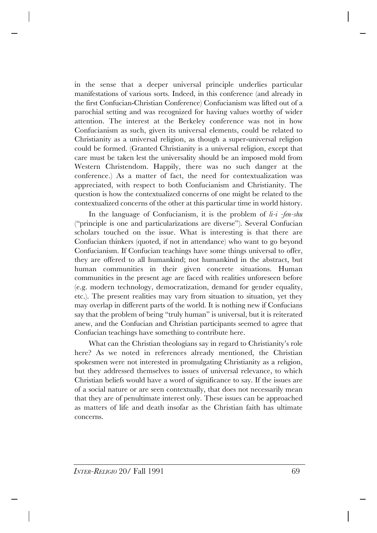in the sense that a deeper universal principle underlies particular manifestations of various sorts. Indeed, in this conference (and already in the first Confucian-Christian Conference) Confucianism was lifted out of a parochial setting and was recognized for having values worthy of wider attention. The interest at the Berkeley conference was not in how Confucianism as such, given its universal elements, could be related to Christianity as a universal religion, as though a super-universal religion could be formed. (Granted Christianity is a universal religion, except that care must be taken lest the universality should be an imposed mold from Western Christendom. Happily, there was no such danger at the conference.) As a matter of fact, the need for contextualization was appreciated, with respect to both Confucianism and Christianity. The question is how the contextualized concerns of one might be related to the contextualized concerns of the other at this particular time in world history.

In the language of Confucianism, it is the problem of *li-i -fen-shu* ("principle is one and particularizations are diverse"). Several Confucian scholars touched on the issue. What is interesting is that there are Confucian thinkers (quoted, if not in attendance) who want to go beyond Confucianism. If Confucian teachings have some things universal to offer, they are offered to all humankind; not humankind in the abstract, but human communities in their given concrete situations. Human communities in the present age are faced with realities unforeseen before (e.g. modern technology, democratization, demand for gender equality, etc.). The present realities may vary from situation to situation, yet they may overlap in different parts of the world. It is nothing new if Confucians say that the problem of being "truly human" is universal, but it is reiterated anew, and the Confucian and Christian participants seemed to agree that Confucian teachings have something to contribute here.

What can the Christian theologians say in regard to Christianity's role here? As we noted in references already mentioned, the Christian spokesmen were not interested in promulgating Christianity as a religion, but they addressed themselves to issues of universal relevance, to which Christian beliefs would have a word of significance to say. If the issues are of a social nature or are seen contextually, that does not necessarily mean that they are of penultimate interest only. These issues can be approached as matters of life and death insofar as the Christian faith has ultimate concerns.